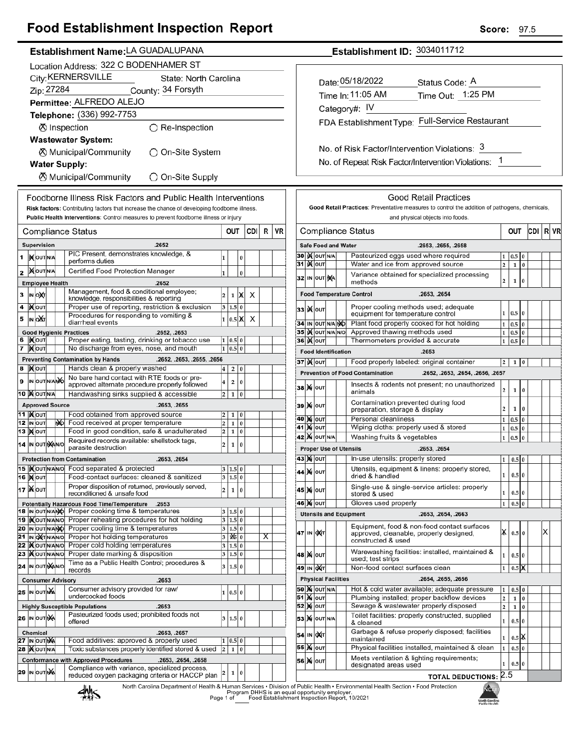## **Food Establishment Inspection Report**

#### Establishment Name: LA GUADALUPANA

|          | Location Address: 322 C BODENHAMER ST                                       |                                                                                                      |                                                                                    |                                                                                                                  |                                                                                                   |                              |                         |          |     |   |    |  |  |
|----------|-----------------------------------------------------------------------------|------------------------------------------------------------------------------------------------------|------------------------------------------------------------------------------------|------------------------------------------------------------------------------------------------------------------|---------------------------------------------------------------------------------------------------|------------------------------|-------------------------|----------|-----|---|----|--|--|
|          | City: KERNERSVILLE<br>State: North Carolina                                 |                                                                                                      |                                                                                    |                                                                                                                  |                                                                                                   |                              |                         |          |     |   |    |  |  |
|          | Zip: 27284<br>County: 34 Forsyth                                            |                                                                                                      |                                                                                    |                                                                                                                  |                                                                                                   |                              |                         |          |     |   |    |  |  |
|          |                                                                             |                                                                                                      |                                                                                    |                                                                                                                  | Permittee: ALFREDO ALEJO                                                                          |                              |                         |          |     |   |    |  |  |
|          |                                                                             |                                                                                                      |                                                                                    |                                                                                                                  | Telephone: (336) 992-7753                                                                         |                              |                         |          |     |   |    |  |  |
|          |                                                                             |                                                                                                      |                                                                                    |                                                                                                                  | ⊗ Inspection<br>$\bigcirc$ Re-Inspection                                                          |                              |                         |          |     |   |    |  |  |
|          |                                                                             |                                                                                                      |                                                                                    |                                                                                                                  | <b>Wastewater System:</b>                                                                         |                              |                         |          |     |   |    |  |  |
|          |                                                                             |                                                                                                      |                                                                                    |                                                                                                                  | ⊗ Municipal/Community<br>)On-Site System                                                          |                              |                         |          |     |   |    |  |  |
|          |                                                                             |                                                                                                      |                                                                                    |                                                                                                                  | <b>Water Supply:</b>                                                                              |                              |                         |          |     |   |    |  |  |
|          |                                                                             |                                                                                                      |                                                                                    |                                                                                                                  | ⊗ Municipal/Community<br>$\bigcirc$ On-Site Supply                                                |                              |                         |          |     |   |    |  |  |
|          |                                                                             |                                                                                                      |                                                                                    |                                                                                                                  | Foodborne Illness Risk Factors and Public Health Interventions                                    |                              |                         |          |     |   |    |  |  |
|          |                                                                             |                                                                                                      |                                                                                    |                                                                                                                  | Risk factors: Contributing factors that increase the chance of developing foodborne illness.      |                              |                         |          |     |   |    |  |  |
|          |                                                                             |                                                                                                      |                                                                                    |                                                                                                                  | Public Health Interventions: Control measures to prevent foodborne illness or injury              |                              |                         |          |     |   |    |  |  |
|          |                                                                             |                                                                                                      |                                                                                    |                                                                                                                  | Compliance Status                                                                                 |                              | OUT                     |          | CDI | R | VF |  |  |
|          |                                                                             | Supervision                                                                                          |                                                                                    |                                                                                                                  | .2652                                                                                             |                              |                         |          |     |   |    |  |  |
| 1        |                                                                             | IN OUT N/A                                                                                           |                                                                                    |                                                                                                                  | PIC Present, demonstrates knowledge, &                                                            | 1                            |                         | 0        |     |   |    |  |  |
|          |                                                                             | <b>MOUTINA</b>                                                                                       |                                                                                    |                                                                                                                  | performs duties<br>Certified Food Protection Manager                                              |                              |                         |          |     |   |    |  |  |
| 2        |                                                                             |                                                                                                      |                                                                                    |                                                                                                                  |                                                                                                   | 1                            |                         | $\bf{0}$ |     |   |    |  |  |
| 3        | <b>Employee Health</b><br>.2652<br>Management, food & conditional employee; |                                                                                                      |                                                                                    |                                                                                                                  |                                                                                                   |                              |                         |          |     |   |    |  |  |
| 4        |                                                                             | IN ONT                                                                                               |                                                                                    |                                                                                                                  | knowledge, responsibilities & reporting<br>Proper use of reporting, restriction & exclusion       | $\overline{\mathbf{c}}$<br>3 | 1<br>1.5                | X<br>0   | х   |   |    |  |  |
| 5        |                                                                             | )Х∣оυт<br>IN OAT                                                                                     |                                                                                    |                                                                                                                  | Procedures for responding to vomiting &                                                           | $\mathbf{1}$                 | 0.5                     | X        | x   |   |    |  |  |
|          |                                                                             |                                                                                                      |                                                                                    |                                                                                                                  | diarrheal events                                                                                  |                              |                         |          |     |   |    |  |  |
| 6        |                                                                             | <b>IX</b> OUT                                                                                        |                                                                                    |                                                                                                                  | <b>Good Hygienic Practices</b><br>.2652, .2653<br>Proper eating, tasting, drinking or tobacco use | 1                            | 0.5                     | 0        |     |   |    |  |  |
| 7        |                                                                             | ∣ <b>)∢</b>  оυт                                                                                     |                                                                                    |                                                                                                                  | No discharge from eyes, nose, and mouth                                                           | 1                            | 0.5                     | $\bf{0}$ |     |   |    |  |  |
|          |                                                                             |                                                                                                      |                                                                                    |                                                                                                                  | <b>Preventing Contamination by Hands</b><br>.2652, .2653, .2655, .2656                            |                              |                         |          |     |   |    |  |  |
| 8        |                                                                             | <b>XOUT</b>                                                                                          |                                                                                    |                                                                                                                  | Hands clean & properly washed<br>No bare hand contact with RTE foods or pre-                      | 4                            | 2                       | 0        |     |   |    |  |  |
| 9        |                                                                             | IN OUT N/ANO                                                                                         |                                                                                    |                                                                                                                  | approved alternate procedure properly followed                                                    | 4                            | 2                       | 0        |     |   |    |  |  |
|          |                                                                             | <b>10 MOUTINA</b>                                                                                    |                                                                                    |                                                                                                                  | Handwashing sinks supplied & accessible                                                           | 2                            | 1                       | 0        |     |   |    |  |  |
| 11       |                                                                             | <b>Approved Source</b>                                                                               |                                                                                    |                                                                                                                  | .2653, .2655                                                                                      |                              |                         |          |     |   |    |  |  |
| 12       |                                                                             | <b>X</b> OUT<br>IN OUT                                                                               |                                                                                    | ŴЫ                                                                                                               | Food obtained from approved source<br>Food received at proper temperature                         | 2<br>$\overline{\mathbf{c}}$ | 1<br>1                  | 0<br>0   |     |   |    |  |  |
| 13       |                                                                             | <b>XOUT</b>                                                                                          |                                                                                    |                                                                                                                  | Food in good condition, safe & unadulterated                                                      | $\overline{\mathbf{c}}$      | 1                       | 0        |     |   |    |  |  |
|          |                                                                             | Required records available: shellstock tags,<br>14 IN OUT NAINO<br>parasite destruction              |                                                                                    |                                                                                                                  |                                                                                                   |                              |                         | 0        |     |   |    |  |  |
|          |                                                                             |                                                                                                      |                                                                                    |                                                                                                                  | <b>Protection from Contamination</b><br>.2653, .2654                                              |                              |                         |          |     |   |    |  |  |
|          |                                                                             |                                                                                                      |                                                                                    |                                                                                                                  | 15  Xour Na No Food separated & protected                                                         |                              | 3 1.5 0                 |          |     |   |    |  |  |
|          |                                                                             | <b>16   о</b> ит                                                                                     |                                                                                    |                                                                                                                  | Food-contact surfaces: cleaned & sanitized<br>Proper disposition of returned, previously served,  |                              | 3 1.5 0                 |          |     |   |    |  |  |
|          |                                                                             | <b>17 Ж</b> олт                                                                                      |                                                                                    |                                                                                                                  | reconditioned & unsafe food                                                                       | 2                            | 1                       | 0        |     |   |    |  |  |
|          |                                                                             | 18 IN OUT N/ANO                                                                                      |                                                                                    |                                                                                                                  | Potentially Hazardous Food Time/Temperature<br>.2653<br>Proper cooking time & temperatures        | 3                            | 1.5 0                   |          |     |   |    |  |  |
|          |                                                                             | 19   OUT N/AN/O                                                                                      |                                                                                    |                                                                                                                  | Proper reheating procedures for hot holding                                                       | 3                            | 1.5 0                   |          |     |   |    |  |  |
| 20       |                                                                             | IN OUT N/ANO                                                                                         |                                                                                    |                                                                                                                  | Proper cooling time & temperatures                                                                | 3                            | 1.5 0                   |          |     |   |    |  |  |
| 21<br>22 |                                                                             | IN OXTN/AN/O<br><b>IX</b> OUTNANO                                                                    |                                                                                    |                                                                                                                  | Proper hot holding temperatures<br>Proper cold holding temperatures                               | 3<br>3                       | $ \mathbf{x} _0$<br>1.5 | $\bf{0}$ |     | х |    |  |  |
|          |                                                                             | 23   OUTNANO                                                                                         |                                                                                    |                                                                                                                  | Proper date marking & disposition                                                                 | 3                            | 1.5                     | 0        |     |   |    |  |  |
|          |                                                                             | 24 IN OUT MANO                                                                                       |                                                                                    |                                                                                                                  | Time as a Public Health Control; procedures &<br>records                                          | 3                            | 1.5                     | 0        |     |   |    |  |  |
|          |                                                                             |                                                                                                      |                                                                                    |                                                                                                                  | <b>Consumer Advisory</b><br>.2653                                                                 |                              |                         |          |     |   |    |  |  |
|          |                                                                             | <b>25 IN OUT NA</b>                                                                                  |                                                                                    |                                                                                                                  | Consumer advisory provided for raw/                                                               | 1                            | 0.5 0                   |          |     |   |    |  |  |
|          |                                                                             |                                                                                                      |                                                                                    |                                                                                                                  | undercooked foods<br><b>Highly Susceptible Populations</b><br>.2653                               |                              |                         |          |     |   |    |  |  |
|          |                                                                             | 26 IN OUTINA                                                                                         |                                                                                    |                                                                                                                  | Pasteurized foods used; prohibited foods not                                                      | 3                            | 1.5 0                   |          |     |   |    |  |  |
|          |                                                                             |                                                                                                      |                                                                                    |                                                                                                                  | offered                                                                                           |                              |                         |          |     |   |    |  |  |
|          |                                                                             | .2653, .2657<br>Chemical<br>Food additives: approved & properly used<br>27 IN OUTNA<br>0.5<br>0<br>1 |                                                                                    |                                                                                                                  |                                                                                                   |                              |                         |          |     |   |    |  |  |
| 28       |                                                                             |                                                                                                      | Toxic substances properly identified stored & used<br><b>XOUTNA</b><br>2<br>1<br>0 |                                                                                                                  |                                                                                                   |                              |                         |          |     |   |    |  |  |
|          |                                                                             |                                                                                                      |                                                                                    |                                                                                                                  | <b>Conformance with Approved Procedures</b><br>.2653, .2654, .2658                                |                              |                         |          |     |   |    |  |  |
|          |                                                                             | 29 IN OUT NA                                                                                         |                                                                                    | Compliance with variance, specialized process,<br>2<br>1<br>0<br>reduced oxygen packaging criteria or HACCP plan |                                                                                                   |                              |                         |          |     |   |    |  |  |
|          |                                                                             |                                                                                                      |                                                                                    |                                                                                                                  |                                                                                                   |                              |                         |          |     |   |    |  |  |

Establishment ID: 3034011712

| Date: 05/18/2022                              | Status Code: A                                  |
|-----------------------------------------------|-------------------------------------------------|
| Time In: 11:05 AM                             | Time Out: 1:25 PM                               |
| Category#: IV                                 |                                                 |
|                                               | FDA Establishment Type: Full-Service Restaurant |
|                                               |                                                 |
| No. of Risk Factor/Intervention Violations: 3 |                                                 |

No. of Repeat Risk Factor/Intervention Violations: 1

| Compliance Status |    |                           |  |                            |                                                                                                                  |                         | OUT     |          | CDI | R | VR |
|-------------------|----|---------------------------|--|----------------------------|------------------------------------------------------------------------------------------------------------------|-------------------------|---------|----------|-----|---|----|
|                   |    |                           |  | <b>Safe Food and Water</b> | .2653, .2655, .2658                                                                                              |                         |         |          |     |   |    |
| 30 I              |    | IX OUT N/A                |  |                            | Pasteurized eggs used where required                                                                             | 1                       | 0.5     | 0        |     |   |    |
| 31                |    | <b>K</b> lout             |  |                            | Water and ice from approved source                                                                               | $\overline{\mathbf{c}}$ | 1       | $\bf{0}$ |     |   |    |
| 32                |    | IN OUT NA                 |  |                            | Variance obtained for specialized processing<br>methods                                                          | $\overline{2}$          | 1       | $\bf{0}$ |     |   |    |
|                   |    |                           |  |                            | <b>Food Temperature Control</b><br>.2653, .2654                                                                  |                         |         |          |     |   |    |
| 33                |    | <b>IX</b> OUT             |  |                            | Proper cooling methods used; adequate<br>equipment for temperature control                                       | 1                       | 0.5     | $\bf{0}$ |     |   |    |
| 34                |    | IN OUT N/A NO             |  |                            | Plant food properly cooked for hot holding                                                                       | 1                       | 0.5     | $\bf{0}$ |     |   |    |
| 35                |    | IX OUT N/A                |  | N/O                        | Approved thawing methods used                                                                                    | 1                       | 0.5     | 0        |     |   |    |
|                   |    | <b>36∣ )(</b> ∣о∪т        |  |                            | Thermometers provided & accurate                                                                                 | 1                       | 0.5     | 0        |     |   |    |
|                   |    |                           |  | <b>Food Identification</b> | .2653                                                                                                            |                         |         |          |     |   |    |
|                   |    | 37  ) χ ουτ               |  |                            | Food properly labeled: original container                                                                        | 2                       | 1       | 0        |     |   |    |
|                   |    |                           |  |                            | <b>Prevention of Food Contamination</b><br>.2652, .2653, .2654, .2656, .2657                                     |                         |         |          |     |   |    |
| 38                |    | <b>M</b> OUT              |  |                            | Insects & rodents not present; no unauthorized<br>animals                                                        | 2                       | 1       | $\bf{0}$ |     |   |    |
| 39                |    | <b>M</b> OUT              |  |                            | Contamination prevented during food<br>preparation, storage & display                                            | 2                       | 1       | $\bf{0}$ |     |   |    |
| 40                |    | <b>M</b> OUT              |  |                            | Personal cleanliness                                                                                             | 1                       | 0.5     | 0        |     |   |    |
| 41                |    | <b>X</b> OUT              |  |                            | Wiping cloths: properly used & stored                                                                            | 1                       | 0.5     | 0        |     |   |    |
|                   |    | <b>42  X</b> OUT N/A      |  |                            | Washing fruits & vegetables                                                                                      | 1                       | 0.5     | $\bf{0}$ |     |   |    |
|                   |    |                           |  |                            | <b>Proper Use of Utensils</b><br>.2653, .2654                                                                    |                         |         |          |     |   |    |
|                   |    | 43  )X   ОUТ              |  |                            | In-use utensils: properly stored                                                                                 | 1                       | 0.5     | 0        |     |   |    |
| 44                | M  | lout                      |  |                            | Utensils, equipment & linens: properly stored,<br>dried & handled                                                | 1                       | 0.510   |          |     |   |    |
| 45                | M  | OUT                       |  |                            | Single-use & single-service articles: properly<br>stored & used                                                  | 1                       | 0.5     | $\bf{0}$ |     |   |    |
|                   |    | 46 ) X   ОUТ              |  |                            | Gloves used properly                                                                                             | 1                       | 0.5     | $\Omega$ |     |   |    |
|                   |    |                           |  |                            | <b>Utensils and Equipment</b><br>.2653, .2654, .2663                                                             |                         |         |          |     |   |    |
| 47                | IN | ∣ох(т                     |  |                            | Equipment, food & non-food contact surfaces<br>approved, cleanable, properly designed,<br>constructed & used     | x                       | $0.5$ 0 |          |     | х |    |
|                   |    | 48  <b>)(</b>   Ουτ       |  |                            | Warewashing facilities: installed, maintained &<br>used; test strips                                             | 1                       | 0.5 0   |          |     |   |    |
| 49                |    | IN <b>DAT</b>             |  |                            | Non-food contact surfaces clean                                                                                  | 1                       | 0.5     | IX       |     |   |    |
|                   |    |                           |  | <b>Physical Facilities</b> | .2654, .2655, .2656                                                                                              |                         |         |          |     |   |    |
|                   |    | <b>50   X</b>   OUT   N/A |  |                            | Hot & cold water available; adequate pressure                                                                    |                         | 0.5     | $\bf{0}$ |     |   |    |
| 51                |    | <b>X</b> OUT              |  |                            | Plumbing installed; proper backflow devices                                                                      |                         | 1       | $\bf{0}$ |     |   |    |
| 52                |    | <b>X</b> OUT              |  |                            | Sewage & wastewater properly disposed<br>2<br>1<br>0                                                             |                         |         |          |     |   |    |
| 53                | M  | OUT N/A                   |  |                            | Toilet facilities: properly constructed, supplied<br>& cleaned<br>Garbage & refuse properly disposed; facilities | 1                       | 0.5     | $\bf{0}$ |     |   |    |
| 54                | IN | охіт                      |  |                            | maintained                                                                                                       | 1                       | 0.5     | K        |     |   |    |
| 55                | M  | OUT                       |  |                            | Physical facilities installed, maintained & clean                                                                | 1                       | 0.5     | 0        |     |   |    |
| 56                | M  | OUT                       |  |                            | Meets ventilation & lighting requirements;<br>designated areas used                                              | 1                       | 0.5     | $\bf{0}$ |     |   |    |
|                   |    |                           |  |                            |                                                                                                                  |                         |         |          |     |   |    |



North Carolina Department of Health & Human Services • Division of Public Health • Environmental Health Section • Food Protection<br>Program DHHS is an equal opportunity employer.<br>Food Establishment Inspection Report, 10/2021

 $\overline{1}$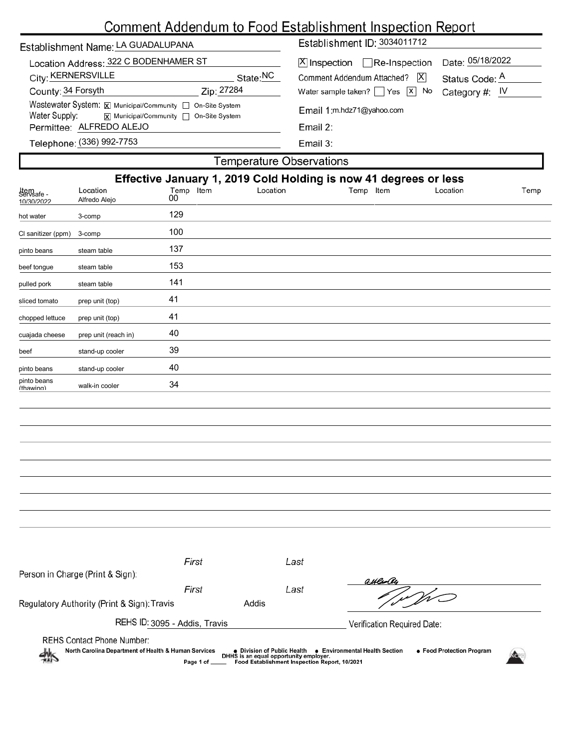# Comment Addendum to Food Establishment Inspection Report

| Establishment Name: LA GUADALUPANA                                                                                     |          | Establishment ID: 3034011712                                                        |                                    |  |  |  |  |  |
|------------------------------------------------------------------------------------------------------------------------|----------|-------------------------------------------------------------------------------------|------------------------------------|--|--|--|--|--|
| Location Address: 322 C BODENHAMER ST<br>City: KERNERSVILLE                                                            | State:NC | $ \mathsf{X} $ Inspection $\Box$ Re-Inspection<br> X <br>Comment Addendum Attached? | Date: 05/18/2022<br>Status Code: A |  |  |  |  |  |
| Zip: 27284<br>County: 34 Forsyth                                                                                       |          | Water sample taken? $\Box$ Yes $\Box$ No                                            | Category #: $IV$                   |  |  |  |  |  |
| Wastewater System: X Municipal/Community   On-Site System<br>Water Supply:<br> x  Municipal/Community   On-Site System |          | Email 1:m.hdz71@yahoo.com<br>Email 2:                                               |                                    |  |  |  |  |  |
| Permittee: ALFREDO ALEJO                                                                                               |          |                                                                                     |                                    |  |  |  |  |  |
| Telephone: (336) 992-7753                                                                                              |          | Email $3$ :                                                                         |                                    |  |  |  |  |  |
| Temperature Observations                                                                                               |          |                                                                                     |                                    |  |  |  |  |  |

| Effective January 1, 2019 Cold Holding is now 41 degrees or less |                                  |                 |          |           |          |      |  |  |
|------------------------------------------------------------------|----------------------------------|-----------------|----------|-----------|----------|------|--|--|
| Item<br>Servsafe -<br>10/30/2022                                 | Location<br>Alfredo Alejo        | Temp Item<br>00 | Location | Temp Item | Location | Temp |  |  |
| hot water                                                        | 3-comp                           | 129             |          |           |          |      |  |  |
| Cl sanitizer (ppm)                                               | $3$ -comp                        | 100             |          |           |          |      |  |  |
| pinto beans                                                      | steam table                      | 137             |          |           |          |      |  |  |
| beef tongue                                                      | steam table                      | 153             |          |           |          |      |  |  |
| pulled pork                                                      | steam table                      | 141             |          |           |          |      |  |  |
| sliced tomato                                                    | prep unit (top)                  | 41              |          |           |          |      |  |  |
| chopped lettuce                                                  | prep unit (top)                  | 41              |          |           |          |      |  |  |
| cuajada cheese                                                   | prep unit (reach in)             | 40              |          |           |          |      |  |  |
| beef                                                             | stand-up cooler                  | 39              |          |           |          |      |  |  |
| pinto beans                                                      | stand-up cooler                  | 40              |          |           |          |      |  |  |
| pinto beans<br>(thawing)                                         | walk-in cooler                   | 34              |          |           |          |      |  |  |
|                                                                  |                                  |                 |          |           |          |      |  |  |
|                                                                  |                                  |                 |          |           |          |      |  |  |
|                                                                  |                                  |                 |          |           |          |      |  |  |
|                                                                  |                                  |                 |          |           |          |      |  |  |
|                                                                  |                                  |                 |          |           |          |      |  |  |
|                                                                  |                                  |                 |          |           |          |      |  |  |
|                                                                  |                                  |                 |          |           |          |      |  |  |
|                                                                  |                                  |                 |          |           |          |      |  |  |
|                                                                  |                                  |                 |          |           |          |      |  |  |
|                                                                  |                                  | First           | Last     |           |          |      |  |  |
|                                                                  | Person in Charge (Print & Sign): |                 |          | auleoly   |          |      |  |  |
|                                                                  |                                  | First           | Last     |           | フェノ      |      |  |  |

Regulatory Authority (Print & Sign): Travis **Addis** 

REHS ID: 3095 - Addis, Travis

'n W

Verification Required Date:

REHS Contact Phone Number:

● Division of Public Health ● Environmental Health Section<br>DHHS is an equal opportunity employer.<br>\_\_\_ Food Establishment Inspection Report, 10/2021 North Carolina Department of Health & Human Services ● Food Protection Program Page 1 of